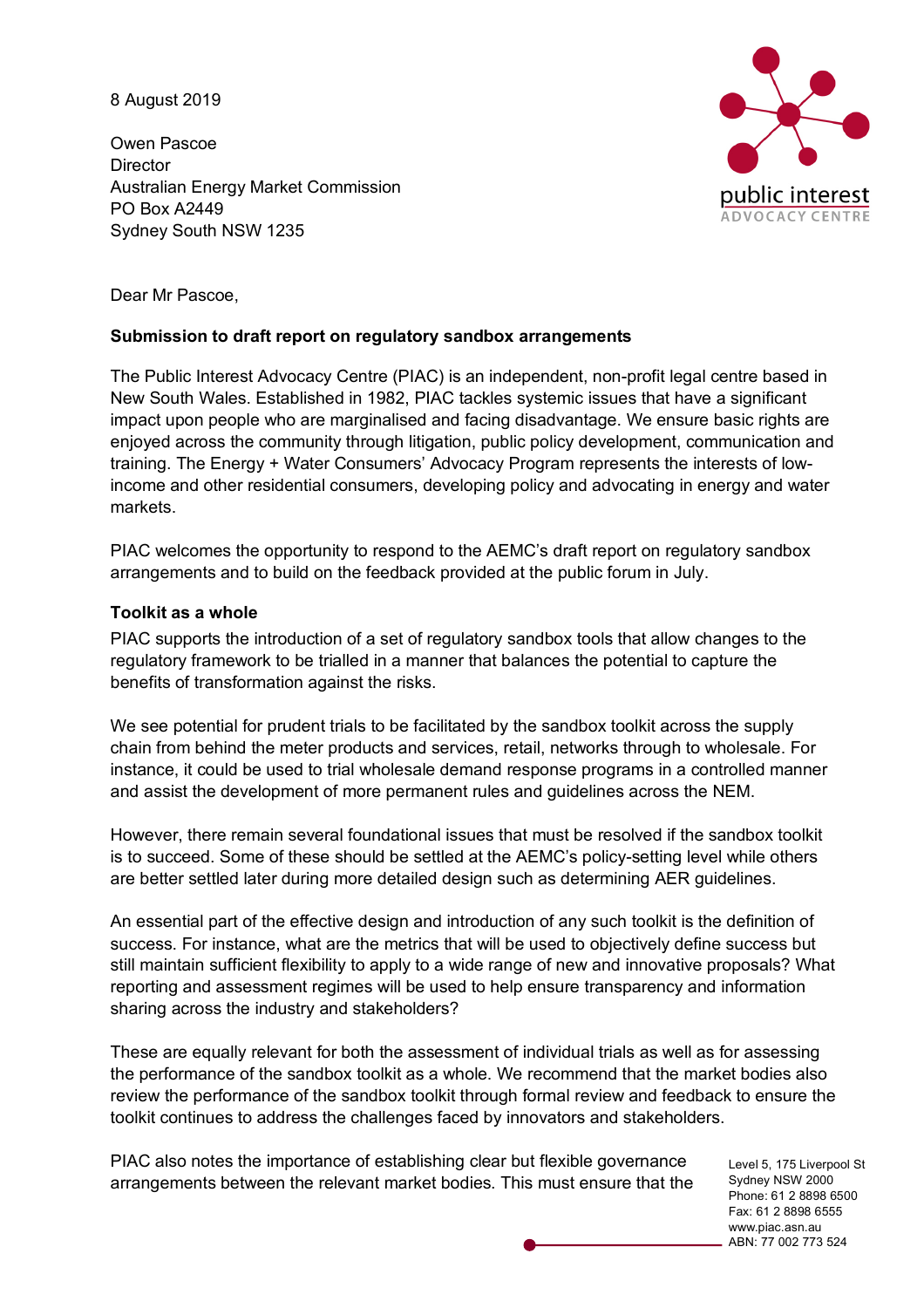8 August 2019

Owen Pascoe **Director** Australian Energy Market Commission PO Box A2449 Sydney South NSW 1235



Dear Mr Pascoe,

## **Submission to draft report on regulatory sandbox arrangements**

The Public Interest Advocacy Centre (PIAC) is an independent, non-profit legal centre based in New South Wales. Established in 1982, PIAC tackles systemic issues that have a significant impact upon people who are marginalised and facing disadvantage. We ensure basic rights are enjoyed across the community through litigation, public policy development, communication and training. The Energy + Water Consumers' Advocacy Program represents the interests of lowincome and other residential consumers, developing policy and advocating in energy and water markets.

PIAC welcomes the opportunity to respond to the AEMC's draft report on regulatory sandbox arrangements and to build on the feedback provided at the public forum in July.

## **Toolkit as a whole**

PIAC supports the introduction of a set of regulatory sandbox tools that allow changes to the regulatory framework to be trialled in a manner that balances the potential to capture the benefits of transformation against the risks.

We see potential for prudent trials to be facilitated by the sandbox toolkit across the supply chain from behind the meter products and services, retail, networks through to wholesale. For instance, it could be used to trial wholesale demand response programs in a controlled manner and assist the development of more permanent rules and guidelines across the NEM.

However, there remain several foundational issues that must be resolved if the sandbox toolkit is to succeed. Some of these should be settled at the AEMC's policy-setting level while others are better settled later during more detailed design such as determining AER guidelines.

An essential part of the effective design and introduction of any such toolkit is the definition of success. For instance, what are the metrics that will be used to objectively define success but still maintain sufficient flexibility to apply to a wide range of new and innovative proposals? What reporting and assessment regimes will be used to help ensure transparency and information sharing across the industry and stakeholders?

These are equally relevant for both the assessment of individual trials as well as for assessing the performance of the sandbox toolkit as a whole. We recommend that the market bodies also review the performance of the sandbox toolkit through formal review and feedback to ensure the toolkit continues to address the challenges faced by innovators and stakeholders.

PIAC also notes the importance of establishing clear but flexible governance arrangements between the relevant market bodies. This must ensure that the

Level 5, 175 Liverpool St Sydney NSW 2000 Phone: 61 2 8898 6500 Fax: 61 2 8898 6555 www.piac.asn.au ABN: 77 002 773 524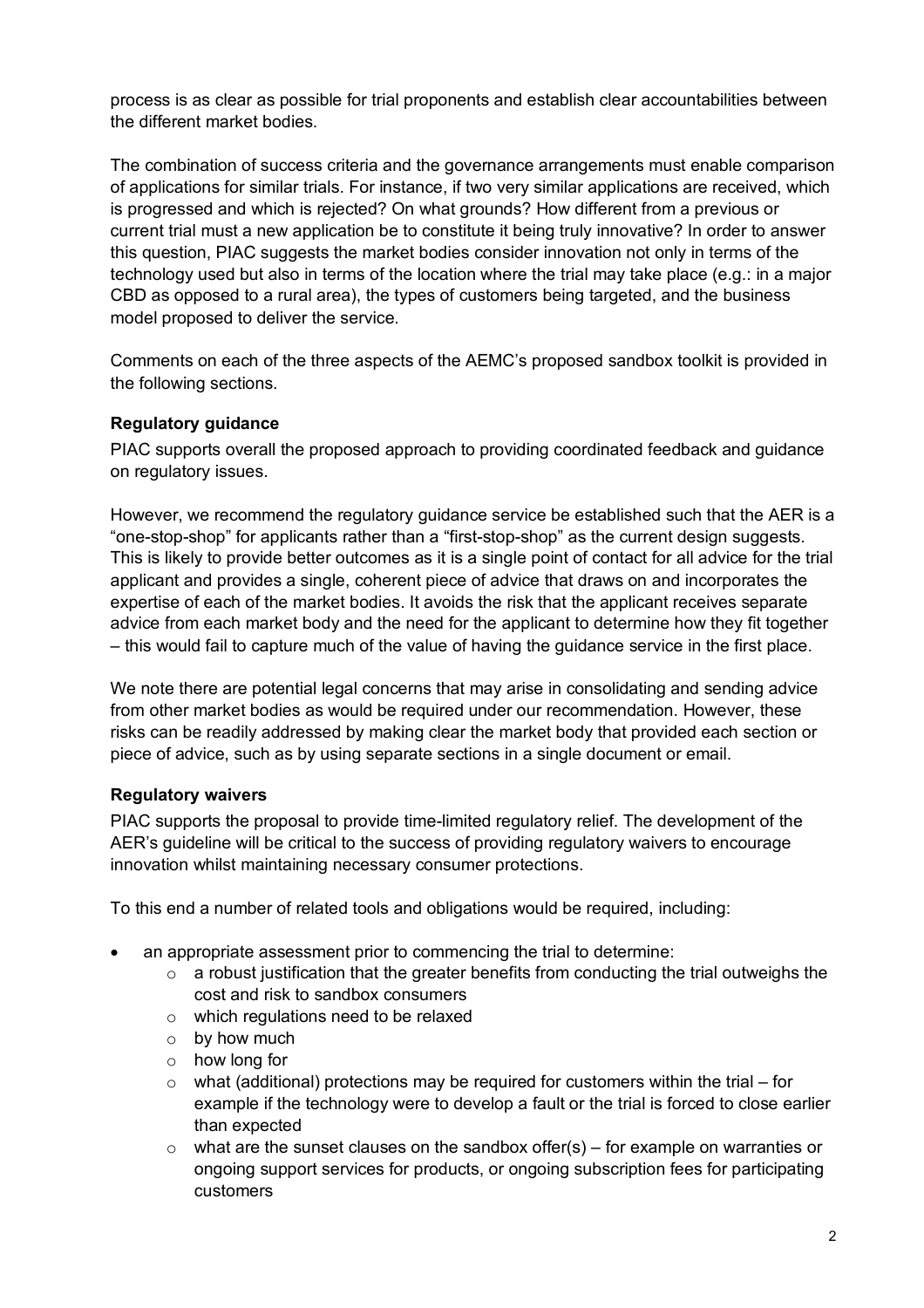process is as clear as possible for trial proponents and establish clear accountabilities between the different market bodies.

The combination of success criteria and the governance arrangements must enable comparison of applications for similar trials. For instance, if two very similar applications are received, which is progressed and which is rejected? On what grounds? How different from a previous or current trial must a new application be to constitute it being truly innovative? In order to answer this question, PIAC suggests the market bodies consider innovation not only in terms of the technology used but also in terms of the location where the trial may take place (e.g.: in a major CBD as opposed to a rural area), the types of customers being targeted, and the business model proposed to deliver the service.

Comments on each of the three aspects of the AEMC's proposed sandbox toolkit is provided in the following sections.

# **Regulatory guidance**

PIAC supports overall the proposed approach to providing coordinated feedback and guidance on regulatory issues.

However, we recommend the regulatory guidance service be established such that the AER is a "one-stop-shop" for applicants rather than a "first-stop-shop" as the current design suggests. This is likely to provide better outcomes as it is a single point of contact for all advice for the trial applicant and provides a single, coherent piece of advice that draws on and incorporates the expertise of each of the market bodies. It avoids the risk that the applicant receives separate advice from each market body and the need for the applicant to determine how they fit together – this would fail to capture much of the value of having the guidance service in the first place.

We note there are potential legal concerns that may arise in consolidating and sending advice from other market bodies as would be required under our recommendation. However, these risks can be readily addressed by making clear the market body that provided each section or piece of advice, such as by using separate sections in a single document or email.

# **Regulatory waivers**

PIAC supports the proposal to provide time-limited regulatory relief. The development of the AER's guideline will be critical to the success of providing regulatory waivers to encourage innovation whilst maintaining necessary consumer protections.

To this end a number of related tools and obligations would be required, including:

- an appropriate assessment prior to commencing the trial to determine:
	- $\circ$  a robust justification that the greater benefits from conducting the trial outweighs the cost and risk to sandbox consumers
	- o which regulations need to be relaxed
	- o by how much
	- o how long for
	- $\circ$  what (additional) protections may be required for customers within the trial for example if the technology were to develop a fault or the trial is forced to close earlier than expected
	- $\circ$  what are the sunset clauses on the sandbox offer(s) for example on warranties or ongoing support services for products, or ongoing subscription fees for participating customers